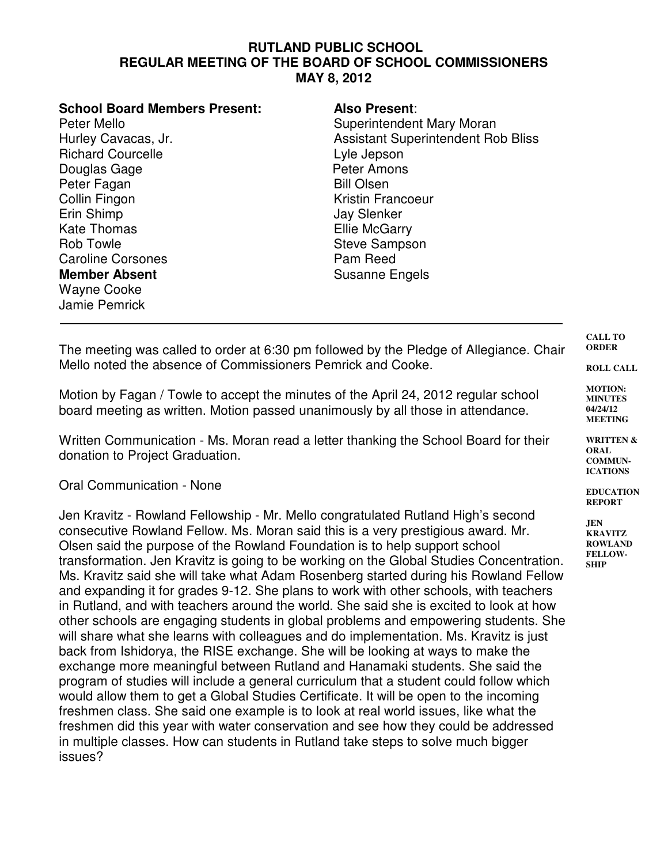## **RUTLAND PUBLIC SCHOOL REGULAR MEETING OF THE BOARD OF SCHOOL COMMISSIONERS MAY 8, 2012**

| <b>School Board Members Present:</b><br>Peter Mello<br>Hurley Cavacas, Jr.<br><b>Richard Courcelle</b><br>Douglas Gage<br>Peter Fagan<br>Collin Fingon<br>Erin Shimp<br><b>Kate Thomas</b><br><b>Rob Towle</b><br><b>Caroline Corsones</b><br><b>Member Absent</b><br><b>Wayne Cooke</b> | <b>Also Present:</b><br>Superintendent Mary Moran<br><b>Assistant Superintendent Rob Bliss</b><br>Lyle Jepson<br>Peter Amons<br><b>Bill Olsen</b><br><b>Kristin Francoeur</b><br><b>Jay Slenker</b><br><b>Ellie McGarry</b><br><b>Steve Sampson</b><br>Pam Reed<br><b>Susanne Engels</b> |
|------------------------------------------------------------------------------------------------------------------------------------------------------------------------------------------------------------------------------------------------------------------------------------------|------------------------------------------------------------------------------------------------------------------------------------------------------------------------------------------------------------------------------------------------------------------------------------------|
| Jamie Pemrick                                                                                                                                                                                                                                                                            |                                                                                                                                                                                                                                                                                          |

The meeting was called to order at 6:30 pm followed by the Pledge of Allegiance. Chair Mello noted the absence of Commissioners Pemrick and Cooke.

Motion by Fagan / Towle to accept the minutes of the April 24, 2012 regular school board meeting as written. Motion passed unanimously by all those in attendance.

Written Communication - Ms. Moran read a letter thanking the School Board for their donation to Project Graduation.

Oral Communication - None

Jen Kravitz - Rowland Fellowship - Mr. Mello congratulated Rutland High's second consecutive Rowland Fellow. Ms. Moran said this is a very prestigious award. Mr. Olsen said the purpose of the Rowland Foundation is to help support school transformation. Jen Kravitz is going to be working on the Global Studies Concentration. Ms. Kravitz said she will take what Adam Rosenberg started during his Rowland Fellow and expanding it for grades 9-12. She plans to work with other schools, with teachers in Rutland, and with teachers around the world. She said she is excited to look at how other schools are engaging students in global problems and empowering students. She will share what she learns with colleagues and do implementation. Ms. Kravitz is just back from Ishidorya, the RISE exchange. She will be looking at ways to make the exchange more meaningful between Rutland and Hanamaki students. She said the program of studies will include a general curriculum that a student could follow which would allow them to get a Global Studies Certificate. It will be open to the incoming freshmen class. She said one example is to look at real world issues, like what the freshmen did this year with water conservation and see how they could be addressed in multiple classes. How can students in Rutland take steps to solve much bigger issues?

**CALL TO ORDER**

**ROLL CALL**

**MOTION: MINUTES 04/24/12 MEETING**

**WRITTEN & ORAL COMMUN-ICATIONS**

**EDUCATION REPORT**

**JEN KRAVITZ ROWLAND FELLOW-SHIP**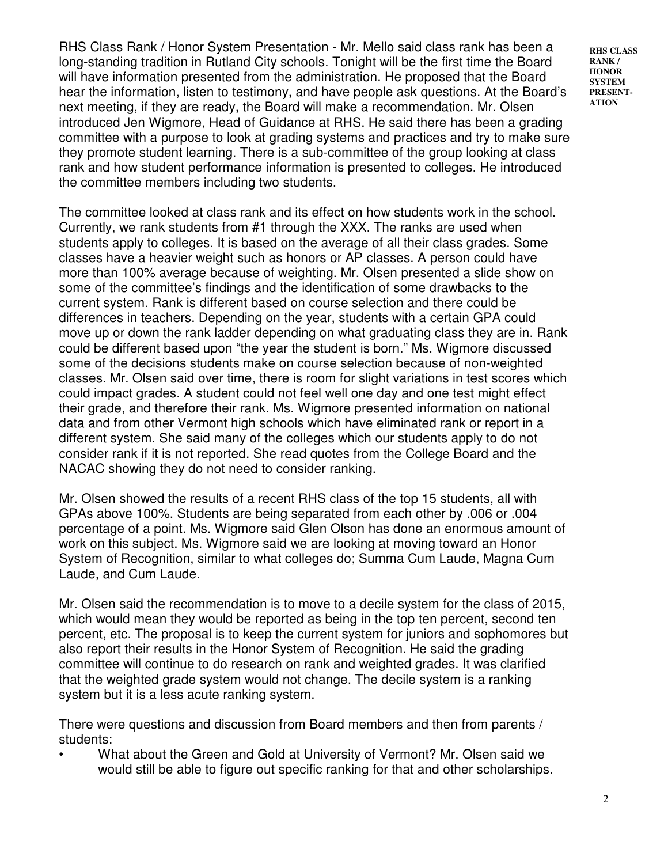RHS Class Rank / Honor System Presentation - Mr. Mello said class rank has been a long-standing tradition in Rutland City schools. Tonight will be the first time the Board will have information presented from the administration. He proposed that the Board hear the information, listen to testimony, and have people ask questions. At the Board's next meeting, if they are ready, the Board will make a recommendation. Mr. Olsen introduced Jen Wigmore, Head of Guidance at RHS. He said there has been a grading committee with a purpose to look at grading systems and practices and try to make sure they promote student learning. There is a sub-committee of the group looking at class rank and how student performance information is presented to colleges. He introduced the committee members including two students.

The committee looked at class rank and its effect on how students work in the school. Currently, we rank students from #1 through the XXX. The ranks are used when students apply to colleges. It is based on the average of all their class grades. Some classes have a heavier weight such as honors or AP classes. A person could have more than 100% average because of weighting. Mr. Olsen presented a slide show on some of the committee's findings and the identification of some drawbacks to the current system. Rank is different based on course selection and there could be differences in teachers. Depending on the year, students with a certain GPA could move up or down the rank ladder depending on what graduating class they are in. Rank could be different based upon "the year the student is born." Ms. Wigmore discussed some of the decisions students make on course selection because of non-weighted classes. Mr. Olsen said over time, there is room for slight variations in test scores which could impact grades. A student could not feel well one day and one test might effect their grade, and therefore their rank. Ms. Wigmore presented information on national data and from other Vermont high schools which have eliminated rank or report in a different system. She said many of the colleges which our students apply to do not consider rank if it is not reported. She read quotes from the College Board and the NACAC showing they do not need to consider ranking.

Mr. Olsen showed the results of a recent RHS class of the top 15 students, all with GPAs above 100%. Students are being separated from each other by .006 or .004 percentage of a point. Ms. Wigmore said Glen Olson has done an enormous amount of work on this subject. Ms. Wigmore said we are looking at moving toward an Honor System of Recognition, similar to what colleges do; Summa Cum Laude, Magna Cum Laude, and Cum Laude.

Mr. Olsen said the recommendation is to move to a decile system for the class of 2015, which would mean they would be reported as being in the top ten percent, second ten percent, etc. The proposal is to keep the current system for juniors and sophomores but also report their results in the Honor System of Recognition. He said the grading committee will continue to do research on rank and weighted grades. It was clarified that the weighted grade system would not change. The decile system is a ranking system but it is a less acute ranking system.

There were questions and discussion from Board members and then from parents / students:

• What about the Green and Gold at University of Vermont? Mr. Olsen said we would still be able to figure out specific ranking for that and other scholarships. **RHS CLASS RANK / HONOR SYSTEM PRESENT-ATION**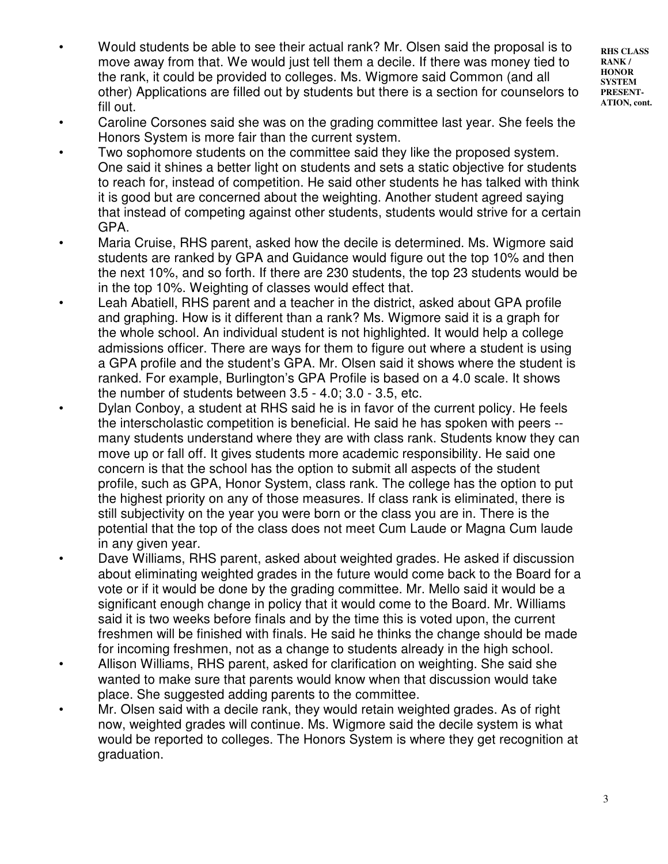- **RHS CLASS RANK / HONOR SYSTEM PRESENT-ATION, cont.**
- Would students be able to see their actual rank? Mr. Olsen said the proposal is to move away from that. We would just tell them a decile. If there was money tied to the rank, it could be provided to colleges. Ms. Wigmore said Common (and all other) Applications are filled out by students but there is a section for counselors to fill out.
- Caroline Corsones said she was on the grading committee last year. She feels the Honors System is more fair than the current system.
- Two sophomore students on the committee said they like the proposed system. One said it shines a better light on students and sets a static objective for students to reach for, instead of competition. He said other students he has talked with think it is good but are concerned about the weighting. Another student agreed saying that instead of competing against other students, students would strive for a certain GPA.
- Maria Cruise, RHS parent, asked how the decile is determined. Ms. Wigmore said students are ranked by GPA and Guidance would figure out the top 10% and then the next 10%, and so forth. If there are 230 students, the top 23 students would be in the top 10%. Weighting of classes would effect that.
- Leah Abatiell, RHS parent and a teacher in the district, asked about GPA profile and graphing. How is it different than a rank? Ms. Wigmore said it is a graph for the whole school. An individual student is not highlighted. It would help a college admissions officer. There are ways for them to figure out where a student is using a GPA profile and the student's GPA. Mr. Olsen said it shows where the student is ranked. For example, Burlington's GPA Profile is based on a 4.0 scale. It shows the number of students between 3.5 - 4.0; 3.0 - 3.5, etc.
- Dylan Conboy, a student at RHS said he is in favor of the current policy. He feels the interscholastic competition is beneficial. He said he has spoken with peers - many students understand where they are with class rank. Students know they can move up or fall off. It gives students more academic responsibility. He said one concern is that the school has the option to submit all aspects of the student profile, such as GPA, Honor System, class rank. The college has the option to put the highest priority on any of those measures. If class rank is eliminated, there is still subjectivity on the year you were born or the class you are in. There is the potential that the top of the class does not meet Cum Laude or Magna Cum laude in any given year.
- Dave Williams, RHS parent, asked about weighted grades. He asked if discussion about eliminating weighted grades in the future would come back to the Board for a vote or if it would be done by the grading committee. Mr. Mello said it would be a significant enough change in policy that it would come to the Board. Mr. Williams said it is two weeks before finals and by the time this is voted upon, the current freshmen will be finished with finals. He said he thinks the change should be made for incoming freshmen, not as a change to students already in the high school.
- Allison Williams, RHS parent, asked for clarification on weighting. She said she wanted to make sure that parents would know when that discussion would take place. She suggested adding parents to the committee.
- Mr. Olsen said with a decile rank, they would retain weighted grades. As of right now, weighted grades will continue. Ms. Wigmore said the decile system is what would be reported to colleges. The Honors System is where they get recognition at graduation.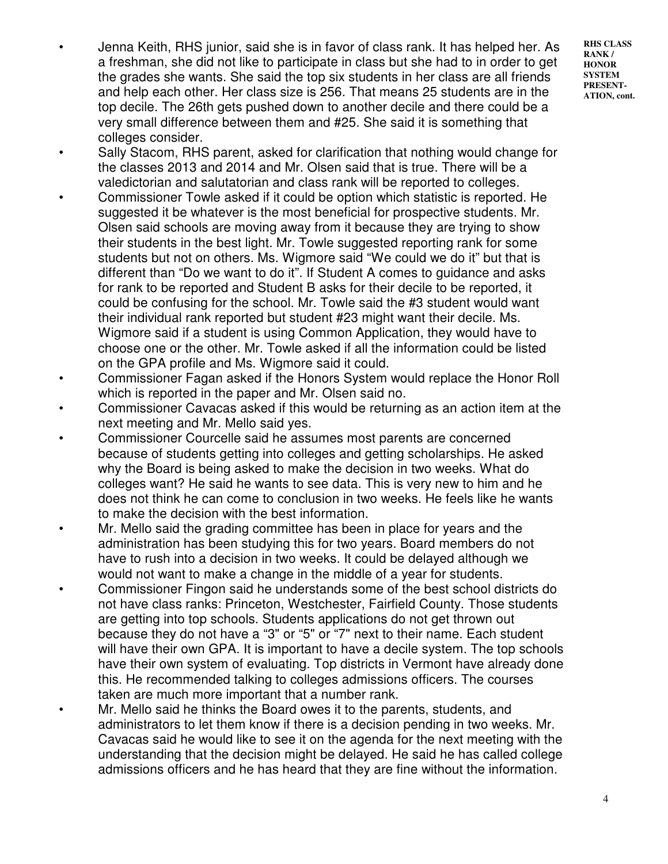- Jenna Keith, RHS junior, said she is in favor of class rank. It has helped her. As a freshman, she did not like to participate in class but she had to in order to get the grades she wants. She said the top six students in her class are all friends and help each other. Her class size is 256. That means 25 students are in the top decile. The 26th gets pushed down to another decile and there could be a very small difference between them and #25. She said it is something that colleges consider.
- Sally Stacom, RHS parent, asked for clarification that nothing would change for the classes 2013 and 2014 and Mr. Olsen said that is true. There will be a valedictorian and salutatorian and class rank will be reported to colleges.
- Commissioner Towle asked if it could be option which statistic is reported. He suggested it be whatever is the most beneficial for prospective students. Mr. Olsen said schools are moving away from it because they are trying to show their students in the best light. Mr. Towle suggested reporting rank for some students but not on others. Ms. Wigmore said "We could we do it" but that is different than "Do we want to do it". If Student A comes to guidance and asks for rank to be reported and Student B asks for their decile to be reported, it could be confusing for the school. Mr. Towle said the #3 student would want their individual rank reported but student #23 might want their decile. Ms. Wigmore said if a student is using Common Application, they would have to choose one or the other. Mr. Towle asked if all the information could be listed on the GPA profile and Ms. Wigmore said it could.
- Commissioner Fagan asked if the Honors System would replace the Honor Roll which is reported in the paper and Mr. Olsen said no.
- Commissioner Cavacas asked if this would be returning as an action item at the next meeting and Mr. Mello said yes.
- Commissioner Courcelle said he assumes most parents are concerned because of students getting into colleges and getting scholarships. He asked why the Board is being asked to make the decision in two weeks. What do colleges want? He said he wants to see data. This is very new to him and he does not think he can come to conclusion in two weeks. He feels like he wants to make the decision with the best information.
- Mr. Mello said the grading committee has been in place for years and the administration has been studying this for two years. Board members do not have to rush into a decision in two weeks. It could be delayed although we would not want to make a change in the middle of a year for students.
- Commissioner Fingon said he understands some of the best school districts do not have class ranks: Princeton, Westchester, Fairfield County. Those students are getting into top schools. Students applications do not get thrown out because they do not have a "3" or "5" or "7" next to their name. Each student will have their own GPA. It is important to have a decile system. The top schools have their own system of evaluating. Top districts in Vermont have already done this. He recommended talking to colleges admissions officers. The courses taken are much more important that a number rank.
- Mr. Mello said he thinks the Board owes it to the parents, students, and administrators to let them know if there is a decision pending in two weeks. Mr. Cavacas said he would like to see it on the agenda for the next meeting with the understanding that the decision might be delayed. He said he has called college admissions officers and he has heard that they are fine without the information.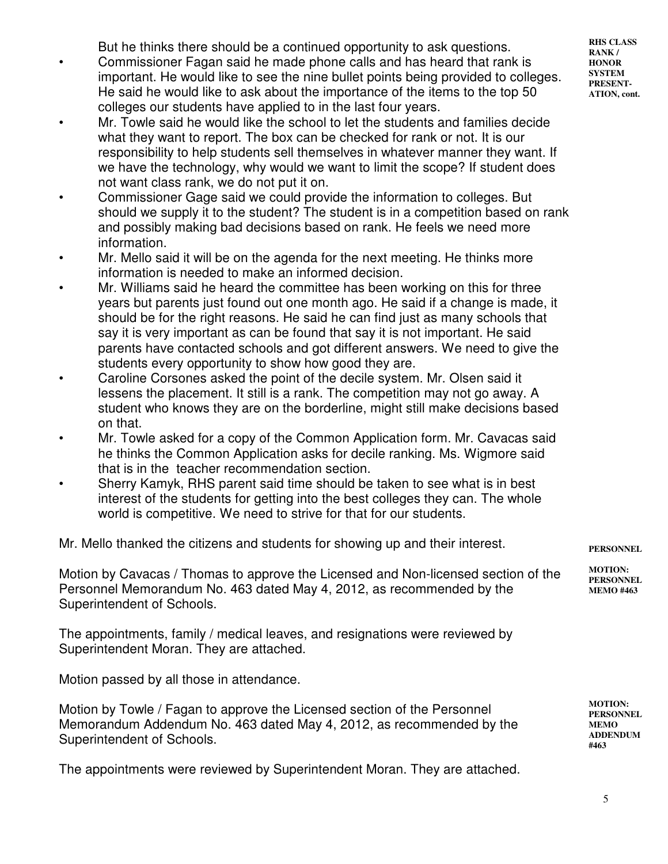But he thinks there should be a continued opportunity to ask questions.

- Commissioner Fagan said he made phone calls and has heard that rank is important. He would like to see the nine bullet points being provided to colleges. He said he would like to ask about the importance of the items to the top 50 colleges our students have applied to in the last four years.
- Mr. Towle said he would like the school to let the students and families decide what they want to report. The box can be checked for rank or not. It is our responsibility to help students sell themselves in whatever manner they want. If we have the technology, why would we want to limit the scope? If student does not want class rank, we do not put it on.
- Commissioner Gage said we could provide the information to colleges. But should we supply it to the student? The student is in a competition based on rank and possibly making bad decisions based on rank. He feels we need more information.
- Mr. Mello said it will be on the agenda for the next meeting. He thinks more information is needed to make an informed decision.
- Mr. Williams said he heard the committee has been working on this for three years but parents just found out one month ago. He said if a change is made, it should be for the right reasons. He said he can find just as many schools that say it is very important as can be found that say it is not important. He said parents have contacted schools and got different answers. We need to give the students every opportunity to show how good they are.
- Caroline Corsones asked the point of the decile system. Mr. Olsen said it lessens the placement. It still is a rank. The competition may not go away. A student who knows they are on the borderline, might still make decisions based on that.
- Mr. Towle asked for a copy of the Common Application form. Mr. Cavacas said he thinks the Common Application asks for decile ranking. Ms. Wigmore said that is in the teacher recommendation section.
- Sherry Kamyk, RHS parent said time should be taken to see what is in best interest of the students for getting into the best colleges they can. The whole world is competitive. We need to strive for that for our students.

Mr. Mello thanked the citizens and students for showing up and their interest.

Motion by Cavacas / Thomas to approve the Licensed and Non-licensed section of the Personnel Memorandum No. 463 dated May 4, 2012, as recommended by the Superintendent of Schools.

The appointments, family / medical leaves, and resignations were reviewed by Superintendent Moran. They are attached.

Motion passed by all those in attendance.

Motion by Towle / Fagan to approve the Licensed section of the Personnel Memorandum Addendum No. 463 dated May 4, 2012, as recommended by the Superintendent of Schools.

The appointments were reviewed by Superintendent Moran. They are attached.

**RHS CLASS RANK / HONOR SYSTEM PRESENT-ATION, cont.**

**PERSONNEL**

**MOTION: PERSONNEL MEMO #463**

**MOTION: PERSONNEL MEMO ADDENDUM #463**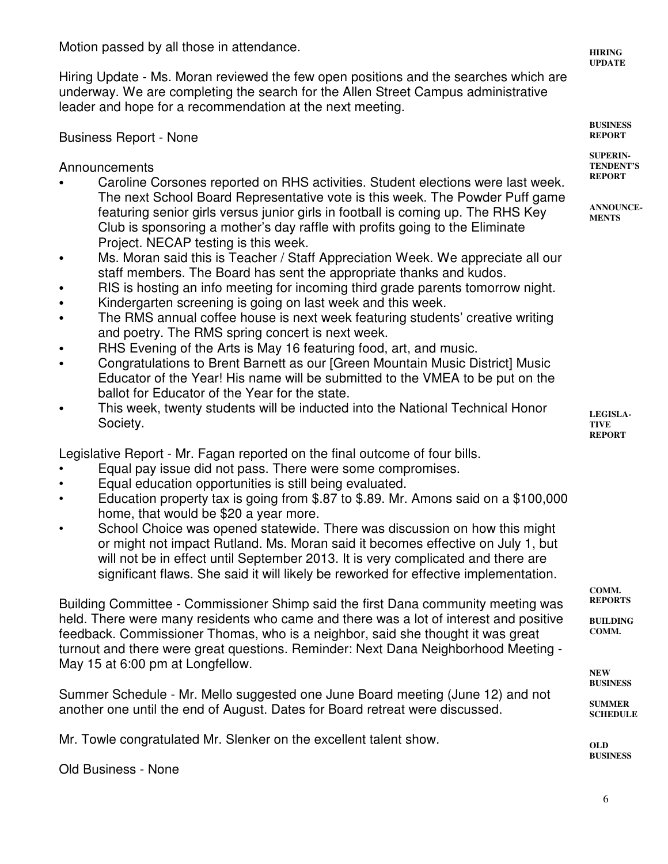Motion passed by all those in attendance.

Hiring Update - Ms. Moran reviewed the few open positions and the searches which are underway. We are completing the search for the Allen Street Campus administrative leader and hope for a recommendation at the next meeting.

## Business Report - None

Announcements

- C Caroline Corsones reported on RHS activities. Student elections were last week. The next School Board Representative vote is this week. The Powder Puff game featuring senior girls versus junior girls in football is coming up. The RHS Key Club is sponsoring a mother's day raffle with profits going to the Eliminate Project. NECAP testing is this week.
- Ms. Moran said this is Teacher / Staff Appreciation Week. We appreciate all our staff members. The Board has sent the appropriate thanks and kudos.
- RIS is hosting an info meeting for incoming third grade parents tomorrow night.
- Kindergarten screening is going on last week and this week.
- The RMS annual coffee house is next week featuring students' creative writing and poetry. The RMS spring concert is next week.
- RHS Evening of the Arts is May 16 featuring food, art, and music.
- Congratulations to Brent Barnett as our [Green Mountain Music District] Music Educator of the Year! His name will be submitted to the VMEA to be put on the ballot for Educator of the Year for the state.
- This week, twenty students will be inducted into the National Technical Honor Society.

Legislative Report - Mr. Fagan reported on the final outcome of four bills.

- Equal pay issue did not pass. There were some compromises.
- Equal education opportunities is still being evaluated.
- Education property tax is going from \$.87 to \$.89. Mr. Amons said on a \$100,000 home, that would be \$20 a year more.
- School Choice was opened statewide. There was discussion on how this might or might not impact Rutland. Ms. Moran said it becomes effective on July 1, but will not be in effect until September 2013. It is very complicated and there are significant flaws. She said it will likely be reworked for effective implementation.

Building Committee - Commissioner Shimp said the first Dana community meeting was held. There were many residents who came and there was a lot of interest and positive feedback. Commissioner Thomas, who is a neighbor, said she thought it was great turnout and there were great questions. Reminder: Next Dana Neighborhood Meeting - May 15 at 6:00 pm at Longfellow.

Summer Schedule - Mr. Mello suggested one June Board meeting (June 12) and not another one until the end of August. Dates for Board retreat were discussed.

Mr. Towle congratulated Mr. Slenker on the excellent talent show.

Old Business - None

**HIRING UPDATE**

**BUSINESS REPORT**

**SUPERIN-TENDENT'S REPORT**

**ANNOUNCE-MENTS**

**LEGISLA-TIVE REPORT**

**COMM. REPORTS**

**BUILDING COMM.** 

**NEW BUSINESS**

**SUMMER SCHEDULE**

**OLD BUSINESS**